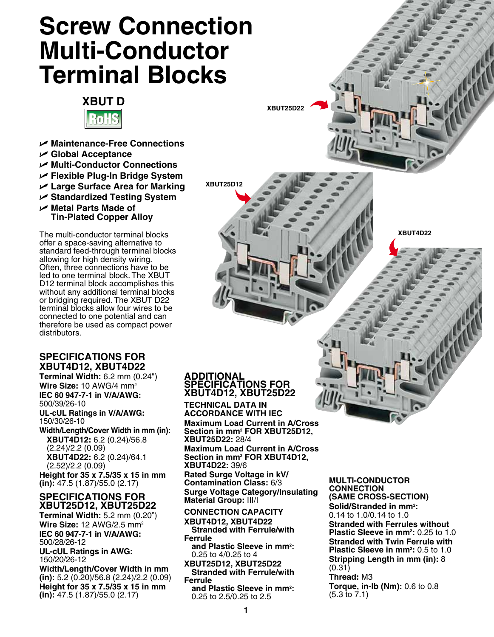# **Screw Connection Multi-Conductor Terminal Blocks**



- U **Maintenance-Free Connections**
- U **Global Acceptance**
- U **Multi-Conductor Connections**
- U **Flexible Plug-In Bridge System**
- U **Large Surface Area for Marking**
- U **Standardized Testing System**
- U **Metal Parts Made of Tin-Plated Copper Alloy**

The multi-conductor terminal blocks offer a space-saving alternative to standard feed-through terminal blocks allowing for high density wiring. Often, three connections have to be led to one terminal block. The XBUT D12 terminal block accomplishes this without any additional terminal blocks or bridging required. The XBUT D22 terminal blocks allow four wires to be connected to one potential and can therefore be used as compact power distributors.

## **SPECIFICATIONS for XBUT4D12, XBUT4D22**

**Terminal Width:** 6.2 mm (0.24") **Wire Size:** 10 AWG/4 mm2 **IEC 60 947-7-1 in V/A/AWG:** 500/39/26-10 **UL-cUL Ratings in V/A/AWG:**

150/30/26-10 **Width/Length/Cover Width in mm (in): XBUT4D12:** 6.2 (0.24)/56.8 (2.24)/2.2 (0.09) **XBUT4D22:** 6.2 (0.24)/64.1 (2.52)/2.2 (0.09)

**Height for 35 x 7.5/35 x 15 in mm (in):** 47.5 (1.87)/55.0 (2.17)

### **SPECIFICATIONS for XBUT25D12, XBUT25D22**

**Terminal Width:** 5.2 mm (0.20") **Wire Size:** 12 AWG/2.5 mm2 **IEC 60 947-7-1 in V/A/AWG:** 500/28/26-12 **UL-cUL Ratings in AWG:**

150/20/26-12

**Width/Length/Cover Width in mm (in):** 5.2 (0.20)/56.8 (2.24)/2.2 (0.09) **Height for 35 x 7.5/35 x 15 in mm (in):** 47.5 (1.87)/55.0 (2.17)

#### **ADDITIONAL SPECIFICATIONS FOR XBUT4D12, XBUT25D22**

**XBUT25D12**

**XBUT25D22**

**TECHNICAL DATA IN ACCORDANCE WITH IEC Maximum Load Current in A/Cross Section in mm2 FOR XBUT25D12, XBUT25D22:** 28/4 **Maximum Load Current in A/Cross Section in mm2 FOR XBUT4D12, XBUT4D22:** 39/6 **Rated Surge Voltage in kV/ Contamination Class:** 6/3 **Surge Voltage Category/Insulating Material Group:** III/I

**CONNECTION CAPACITY**

**XBUT4D12, XBUT4D22 Stranded with Ferrule/with Ferrule**

**and Plastic Sleeve in mm2 :** 0.25 to 4/0.25 to 4

**XBUT25D12, XBUT25D22 Stranded with Ferrule/with Ferrule**

**and Plastic Sleeve in mm2 :** 0.25 to 2.5/0.25 to 2.5

**MULTI-CONDUCTOR CONNECTION (SAME CROSS-SECTION)**

Solid/Stranded in mm<sup>2</sup>: 0.14 to 1.0/0.14 to 1.0 **Stranded with Ferrules without Plastic Sleeve in mm<sup>2</sup>: 0.25 to 1.0 Stranded with Twin Ferrule with Plastic Sleeve in mm<sup>2</sup>: 0.5 to 1.0 Stripping Length in mm (in):** 8  $(0.31)$ 

**XBUT4D22**

**Thread:** M3 **Torque, in-lb (Nm):** 0.6 to 0.8 (5.3 to 7.1)